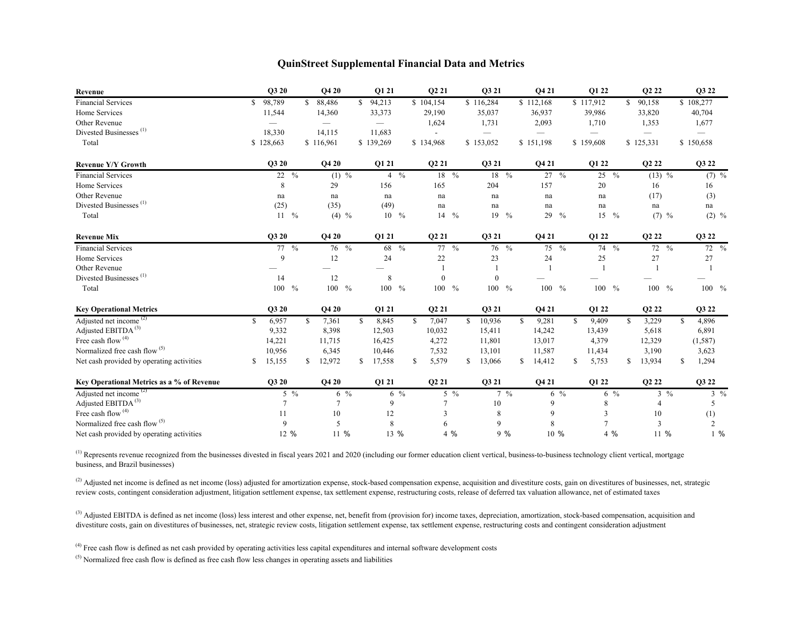## **QuinStreet Supplemental Financial Data and Metrics**

| Revenue                                   |   | Q3 20            |                | <b>O4 20</b>   |                | Q1 21                    |                  | Q2 21                         |                  | Q3 21                  |                | <b>O4 21</b>             |                  |              | Q1 22               |                |    | Q2 22          |  |                | Q3 22                    |  |
|-------------------------------------------|---|------------------|----------------|----------------|----------------|--------------------------|------------------|-------------------------------|------------------|------------------------|----------------|--------------------------|------------------|--------------|---------------------|----------------|----|----------------|--|----------------|--------------------------|--|
| <b>Financial Services</b>                 | S | 98,789           |                | 88,486<br>S.   |                | \$94,213                 |                  | \$104,154                     |                  | \$116,284              |                | \$112,168                |                  |              | \$117,912           |                | S. | 90,158         |  | \$108,277      |                          |  |
| Home Services                             |   | 11,544           |                | 14,360         |                | 33,373                   |                  | 29,190                        |                  | 35,037                 |                | 36,937                   |                  |              | 39,986              |                |    | 33,820         |  |                | 40,704                   |  |
| Other Revenue                             |   |                  |                |                |                | $\overline{\phantom{0}}$ |                  | 1,624                         |                  | 1,731                  |                | 2,093                    |                  |              | 1,710               |                |    | 1,353          |  |                | 1,677                    |  |
| Divested Businesses <sup>(1)</sup>        |   | 18,330           |                | 14,115         |                | 11,683                   |                  |                               |                  |                        |                | $\overline{\phantom{0}}$ |                  |              |                     |                |    |                |  |                | $\overline{\phantom{0}}$ |  |
| Total                                     |   | \$128,663        |                | \$116,961      |                | \$139,269                |                  | \$134,968                     |                  | \$153,052              |                | \$151,198                |                  |              | \$159,608           |                |    | \$125,331      |  | \$150,658      |                          |  |
| <b>Revenue Y/Y Growth</b>                 |   | O3 20            |                | <b>O4 20</b>   |                | Q1 21                    |                  | Q <sub>2</sub> 2 <sub>1</sub> |                  | Q3 21                  |                | Q4 21                    |                  |              | Q1 22               |                |    | Q2 22          |  |                | Q3 22                    |  |
| <b>Financial Services</b>                 |   | 22 $\frac{9}{6}$ |                |                | $(1)$ %        |                          | $4\frac{6}{6}$   |                               | 18 %             |                        | 18 %           |                          | $27 \frac{9}{6}$ |              | $25 \frac{9}{6}$    |                |    | $(13)$ %       |  |                | $(7)$ %                  |  |
| Home Services                             |   | 8                |                | 29             |                | 156                      |                  | 165                           |                  | 204                    |                | 157                      |                  |              | 20                  |                |    | 16             |  |                | 16                       |  |
| Other Revenue                             |   | na               |                | na             |                | na                       |                  | na                            |                  | na                     |                | na                       |                  |              | na                  |                |    | (17)           |  |                | (3)                      |  |
| Divested Businesses <sup>(1)</sup>        |   | (25)             |                | (35)           |                | (49)                     |                  | $\operatorname{na}$           |                  | na                     |                | na                       |                  |              | $\operatorname{na}$ |                |    | na             |  |                | na                       |  |
| Total                                     |   | $11 \frac{9}{6}$ |                | $(4)$ %        |                |                          | $10 \frac{9}{6}$ |                               | $14 \frac{9}{6}$ |                        | 19 %           |                          | 29 %             |              | $15 - %$            |                |    | $(7)$ %        |  |                | $(2)$ %                  |  |
| <b>Revenue Mix</b>                        |   | Q3 20            |                | Q4 20          |                | Q1 21                    |                  | Q <sub>2</sub> 2 <sub>1</sub> |                  | Q3 21                  |                | Q4 21                    |                  |              | Q1 22               |                |    | Q2 22          |  |                | Q3 22                    |  |
| <b>Financial Services</b>                 |   | $77 - \%$        |                |                | 76 %           |                          | 68 %             |                               | 77 %             |                        | 76 %           |                          | 75 %             |              | 74 %                |                |    | 72 %           |  |                | 72 %                     |  |
| Home Services                             |   | $\mathbf Q$      |                | 12             |                | 24                       |                  | 22                            |                  | 23                     |                | 24                       |                  |              | 25                  |                |    | 27             |  |                | 27                       |  |
| Other Revenue                             |   |                  |                |                |                |                          |                  |                               |                  |                        |                |                          |                  |              |                     |                |    |                |  |                |                          |  |
| Divested Businesses <sup>(1)</sup>        |   | 14               |                | 12             |                | 8                        |                  | $\mathbf{0}$                  |                  | $\mathbf{0}$           |                |                          |                  |              |                     |                |    |                |  |                |                          |  |
| Total                                     |   | 100              | $\frac{0}{0}$  | 100 %          |                | $100 - %$                |                  | 100 %                         |                  | $100 - %$              |                |                          | $100 - %$        |              | $100 - %$           |                |    | $100\%$        |  |                | $100\%$                  |  |
| <b>Key Operational Metrics</b>            |   | <b>O3 20</b>     |                | Q4 20          |                | Q1 21                    |                  | Q <sub>2</sub> 2 <sub>1</sub> |                  | Q3 21                  |                | Q4 21                    |                  |              | Q1 22               |                |    | Q2 22          |  |                | Q3 22                    |  |
| Adjusted net income <sup>(2)</sup>        |   | 6,957            |                | 7,361<br>S     |                | 8,845<br>S.              |                  | 7,047<br>\$                   |                  | 10,936<br>$\mathbb{S}$ |                | $\mathbb{S}$<br>9,281    |                  | $\mathbb{S}$ | 9,409               |                | S. | 3,229          |  | <sup>\$</sup>  | 4,896                    |  |
| Adjusted EBITDA <sup>(3)</sup>            |   | 9,332            |                | 8,398          |                | 12,503                   |                  | 10,032                        |                  | 15,411                 |                | 14,242                   |                  |              | 13,439              |                |    | 5,618          |  |                | 6,891                    |  |
| Free cash flow <sup>(4)</sup>             |   | 14,221           |                | 11,715         |                | 16,425                   |                  | 4,272                         |                  | 11,801                 |                | 13,017                   |                  |              | 4,379               |                |    | 12,329         |  |                | (1,587)                  |  |
| Normalized free cash flow <sup>(5)</sup>  |   | 10,956           |                | 6,345          |                | 10,446                   |                  | 7,532                         |                  | 13,101                 |                | 11,587                   |                  |              | 11,434              |                |    | 3,190          |  |                | 3,623                    |  |
| Net cash provided by operating activities |   | 15,155           |                | 12,972<br>\$.  |                | 17,558                   |                  | 5,579<br>S                    |                  | 13,066<br>\$           |                | 14,412<br>S.             |                  | \$           | 5,753               |                | S  | 13,934         |  | <sup>\$</sup>  | 1,294                    |  |
| Key Operational Metrics as a % of Revenue |   | Q3 20            |                | Q4 20          |                | Q1 21                    |                  | Q <sub>2</sub> 2 <sub>1</sub> |                  | Q3 21                  |                | Q4 21                    |                  |              | Q1 22               |                |    | Q2 22          |  |                | Q3 22                    |  |
| Adjusted net income <sup>(2)</sup>        |   |                  | $5\frac{9}{6}$ |                | $6\frac{9}{6}$ |                          | $6\frac{9}{6}$   |                               | $5\frac{9}{6}$   |                        | $7\frac{9}{6}$ |                          | $6\frac{9}{6}$   |              |                     | $6\frac{9}{6}$ |    | $3\frac{9}{6}$ |  | $3\frac{9}{6}$ |                          |  |
| Adjusted EBITDA <sup>(3)</sup>            |   | $\overline{7}$   |                | $\overline{7}$ |                | 9                        |                  |                               |                  | 10                     |                |                          | 9                |              | 8                   |                |    | 4              |  |                | 5                        |  |
| Free cash flow <sup>(4)</sup>             |   | 11               |                | 10             |                | 12                       |                  | 3                             |                  | 8                      |                |                          | 9                |              | 3                   |                |    | 10             |  |                | (1)                      |  |
| Normalized free cash flow <sup>(5)</sup>  |   | $\mathbf Q$      |                | 5              |                | 8                        |                  | 6                             |                  | 9                      |                |                          | 8                |              |                     |                |    | 3              |  |                | $\overline{2}$           |  |
| Net cash provided by operating activities |   | 12 %             |                | 11 %           |                |                          | 13 %             |                               | 4 %              |                        | $9\%$          |                          | 10 %             |              |                     | 4%             |    | 11 %           |  |                | $1\%$                    |  |

<sup>(1)</sup> Represents revenue recognized from the businesses divested in fiscal years 2021 and 2020 (including our former education client vertical, business-to-business technology client vertical, mortgage business, and Brazil businesses)

<sup>(2)</sup> Adjusted net income is defined as net income (loss) adjusted for amortization expense, stock-based compensation expense, acquisition and divestiture costs, gain on divestitures of businesses, net, strategic review costs, contingent consideration adjustment, litigation settlement expense, tax settlement expense, restructuring costs, release of deferred tax valuation allowance, net of estimated taxes

<sup>(3)</sup> Adjusted EBITDA is defined as net income (loss) less interest and other expense, net, benefit from (provision for) income taxes, depreciation, amortization, stock-based compensation, acquisition and divestiture costs, gain on divestitures of businesses, net, strategic review costs, litigation settlement expense, tax settlement expense, restructuring costs and contingent consideration adjustment

 $^{(4)}$  Free cash flow is defined as net cash provided by operating activities less capital expenditures and internal software development costs

 $<sup>(5)</sup>$  Normalized free cash flow is defined as free cash flow less changes in operating assets and liabilities</sup>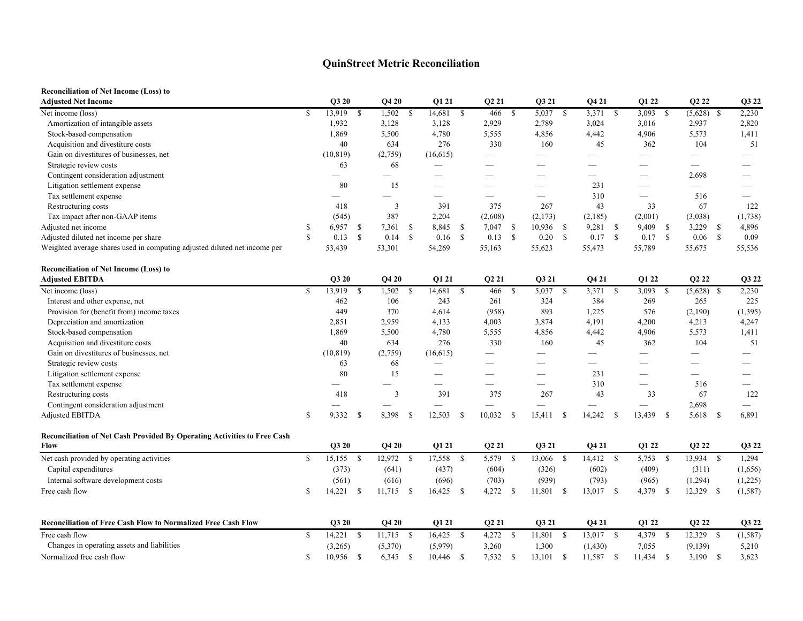## **QuinStreet Metric Reconciliation**

## **Reconciliation of Net Income (Loss) to**

| <b>Adjusted Net Income</b>                                                      |               | Q3 20     |               | Q4 20       |      | Q1 21                    |      | Q <sub>2</sub> 21        |               | Q3 21                         |              | Q4 21                    |      | Q1 22                    |              | Q2 22                         |      | Q3 22                    |
|---------------------------------------------------------------------------------|---------------|-----------|---------------|-------------|------|--------------------------|------|--------------------------|---------------|-------------------------------|--------------|--------------------------|------|--------------------------|--------------|-------------------------------|------|--------------------------|
| Net income (loss)                                                               | <sup>\$</sup> | 13,919    | <sup>\$</sup> | 1,502       | -S   | 14,681                   | - \$ | 466                      | $\mathbb{S}$  | 5,037                         | $\mathbb{S}$ | 3,371                    | - \$ | 3,093                    | \$           | (5,628)                       | - \$ | 2,230                    |
| Amortization of intangible assets                                               |               | 1,932     |               | 3,128       |      | 3,128                    |      | 2,929                    |               | 2,789                         |              | 3,024                    |      | 3,016                    |              | 2,937                         |      | 2,820                    |
| Stock-based compensation                                                        |               | 1,869     |               | 5,500       |      | 4,780                    |      | 5,555                    |               | 4,856                         |              | 4,442                    |      | 4,906                    |              | 5,573                         |      | 1,411                    |
| Acquisition and divestiture costs                                               |               | 40        |               | 634         |      | 276                      |      | 330                      |               | 160                           |              | 45                       |      | 362                      |              | 104                           |      | 51                       |
| Gain on divestitures of businesses, net                                         |               | (10, 819) |               | (2,759)     |      | (16,615)                 |      |                          |               |                               |              | $\overline{\phantom{a}}$ |      |                          |              |                               |      |                          |
| Strategic review costs                                                          |               | 63        |               | 68          |      |                          |      |                          |               |                               |              | $\overline{\phantom{0}}$ |      | --                       |              |                               |      | $\overline{\phantom{0}}$ |
| Contingent consideration adjustment                                             |               |           |               |             |      |                          |      |                          |               |                               |              |                          |      | $\overline{\phantom{0}}$ |              | 2,698                         |      |                          |
| Litigation settlement expense                                                   |               | 80        |               | 15          |      |                          |      |                          |               | $\overbrace{\phantom{12333}}$ |              | 231                      |      |                          |              |                               |      | $\overline{\phantom{0}}$ |
| Tax settlement expense                                                          |               |           |               |             |      |                          |      |                          |               |                               |              | 310                      |      | $\overline{\phantom{0}}$ |              | 516                           |      |                          |
| Restructuring costs                                                             |               | 418       |               | 3           |      | 391                      |      | 375                      |               | 267                           |              | 43                       |      | 33                       |              | 67                            |      | 122                      |
| Tax impact after non-GAAP items                                                 |               | (545)     |               | 387         |      | 2,204                    |      | (2,608)                  |               | (2,173)                       |              | (2, 185)                 |      | (2,001)                  |              | (3,038)                       |      | (1,738)                  |
| Adjusted net income                                                             | -S            | 6,957     | -S            | 7,361       | - \$ | 8,845                    | - \$ | 7,047                    | -S            | 10,936                        | - \$         | $9,281$ \$               |      | 9,409                    | \$           | 3,229                         | -S   | 4,896                    |
| Adjusted diluted net income per share                                           | <sup>\$</sup> | 0.13      | $\mathbb{S}$  | $0.14$ \$   |      | $0.16$ \$                |      | 0.13                     | - \$          | $0.20\  \  \,$ \$             |              | $0.17$ \$                |      | 0.17                     | $\mathbb{S}$ | $0.06$ \$                     |      | 0.09                     |
| Weighted average shares used in computing adjusted diluted net income per       |               | 53,439    |               | 53,301      |      | 54,269                   |      | 55,163                   |               | 55,623                        |              | 55,473                   |      | 55,789                   |              | 55,675                        |      | 55,536                   |
| <b>Reconciliation of Net Income (Loss) to</b>                                   |               |           |               |             |      |                          |      |                          |               |                               |              |                          |      |                          |              |                               |      |                          |
| <b>Adjusted EBITDA</b>                                                          |               | Q3 20     |               | Q4 20       |      | Q1 21                    |      | Q <sub>2</sub> 21        |               | Q3 21                         |              | Q4 21                    |      | Q1 22                    |              | Q2 22                         |      | Q3 22                    |
| Net income (loss)                                                               | <sup>\$</sup> | 13,919    | <sup>\$</sup> | 1,502       | - \$ | 14,681 \$                |      | 466                      | <sup>\$</sup> | 5,037                         | - \$         | 3,371 \$                 |      | 3,093                    | - \$         | $(5,628)$ \$                  |      | 2,230                    |
| Interest and other expense, net                                                 |               | 462       |               | 106         |      | 243                      |      | 261                      |               | 324                           |              | 384                      |      | 269                      |              | 265                           |      | 225                      |
| Provision for (benefit from) income taxes                                       |               | 449       |               | 370         |      | 4,614                    |      | (958)                    |               | 893                           |              | 1,225                    |      | 576                      |              | (2,190)                       |      | (1, 395)                 |
| Depreciation and amortization                                                   |               | 2,851     |               | 2,959       |      | 4,133                    |      | 4,003                    |               | 3,874                         |              | 4,191                    |      | 4,200                    |              | 4,213                         |      | 4,247                    |
| Stock-based compensation                                                        |               | 1,869     |               | 5,500       |      | 4,780                    |      | 5,555                    |               | 4,856                         |              | 4,442                    |      | 4,906                    |              | 5,573                         |      | 1,411                    |
| Acquisition and divestiture costs                                               |               | 40        |               | 634         |      | 276                      |      | 330                      |               | 160                           |              | 45                       |      | 362                      |              | 104                           |      | 51                       |
| Gain on divestitures of businesses, net                                         |               | (10, 819) |               | (2,759)     |      | (16,615)                 |      | $\overline{\phantom{0}}$ |               |                               |              |                          |      | $\overline{\phantom{0}}$ |              |                               |      |                          |
| Strategic review costs                                                          |               | 63        |               | 68          |      | $\overline{\phantom{0}}$ |      |                          |               |                               |              | $\overline{\phantom{0}}$ |      |                          |              |                               |      |                          |
| Litigation settlement expense                                                   |               | 80        |               | 15          |      |                          |      |                          |               |                               |              | 231                      |      |                          |              |                               |      |                          |
| Tax settlement expense                                                          |               |           |               |             |      | $\overline{\phantom{0}}$ |      | $\overline{\phantom{0}}$ |               |                               |              | 310                      |      |                          |              | 516                           |      |                          |
| Restructuring costs                                                             |               | 418       |               | 3           |      | 391                      |      | 375                      |               | 267                           |              | 43                       |      | 33                       |              | 67                            |      | 122                      |
| Contingent consideration adjustment                                             |               |           |               |             |      |                          |      |                          |               |                               |              |                          |      | $\overline{\phantom{0}}$ |              | 2,698                         |      |                          |
| <b>Adjusted EBITDA</b>                                                          | \$            | 9,332     | \$            | 8,398       | -S   | 12,503                   | - \$ | 10,032                   | - \$          | 15,411                        | -S           | 14,242                   | - \$ | 13,439                   | -\$          | 5,618 \$                      |      | 6,891                    |
| <b>Reconciliation of Net Cash Provided By Operating Activities to Free Cash</b> |               |           |               |             |      |                          |      |                          |               |                               |              |                          |      |                          |              |                               |      |                          |
| <b>Flow</b>                                                                     |               | Q3 20     |               | Q4 20       |      | Q1 21                    |      | Q <sub>2</sub> 21        |               | Q3 21                         |              | Q4 21                    |      | Q1 22                    |              | Q2 22                         |      | Q3 22                    |
| Net cash provided by operating activities                                       | $\mathbb{S}$  | 15,155    | $\mathbf{s}$  | 12,972 \$   |      | 17,558 \$                |      | 5,579                    | $\mathbb{S}$  | 13,066 \$                     |              | 14,412 \$                |      | 5,753                    | $\mathbb{S}$ | 13,934 \$                     |      | 1,294                    |
| Capital expenditures                                                            |               | (373)     |               | (641)       |      | (437)                    |      | (604)                    |               | (326)                         |              | (602)                    |      | (409)                    |              | (311)                         |      | (1,656)                  |
| Internal software development costs                                             |               | (561)     |               | (616)       |      | (696)                    |      | (703)                    |               | (939)                         |              | (793)                    |      | (965)                    |              | (1,294)                       |      | (1,225)                  |
| Free cash flow                                                                  | <sup>\$</sup> | 14,221    | <sup>\$</sup> | $11,715$ \$ |      | $16,425$ \$              |      | 4,272                    | - \$          | 11,801 \$                     |              | $13,017$ \$              |      | 4,379                    | - \$         | 12,329 \$                     |      | (1, 587)                 |
| <b>Reconciliation of Free Cash Flow to Normalized Free Cash Flow</b>            |               | Q3 20     |               | Q4 20       |      | Q1 21                    |      | Q <sub>2</sub> 21        |               | Q3 21                         |              | Q4 21                    |      | Q1 22                    |              | Q <sub>2</sub> 2 <sub>2</sub> |      | Q3 22                    |
| Free cash flow                                                                  | <sup>\$</sup> |           |               |             |      |                          |      |                          |               |                               |              |                          |      |                          |              |                               |      |                          |
| Changes in operating assets and liabilities                                     |               | 14,221    | -S            | $11,715$ \$ |      | $16,425$ \$              |      | $4,272$ \$               |               | 11,801 \$                     |              | 13,017 \$                |      | 4,379 \$                 |              | 12,329 \$                     |      | (1, 587)                 |
|                                                                                 |               | (3,265)   |               | (5,370)     |      | (5,979)                  |      | 3,260                    |               | 1,300                         |              | (1, 430)                 |      | 7,055                    |              | (9,139)                       |      | 5,210                    |
| Normalized free cash flow                                                       | <sup>\$</sup> | 10,956    | -S            | 6,345       | -S   | 10,446                   | - \$ | 7,532                    | -S            | 13,101                        | -S           | 11,587                   | - \$ | 11,434                   | -S           | 3,190                         | -S   | 3,623                    |